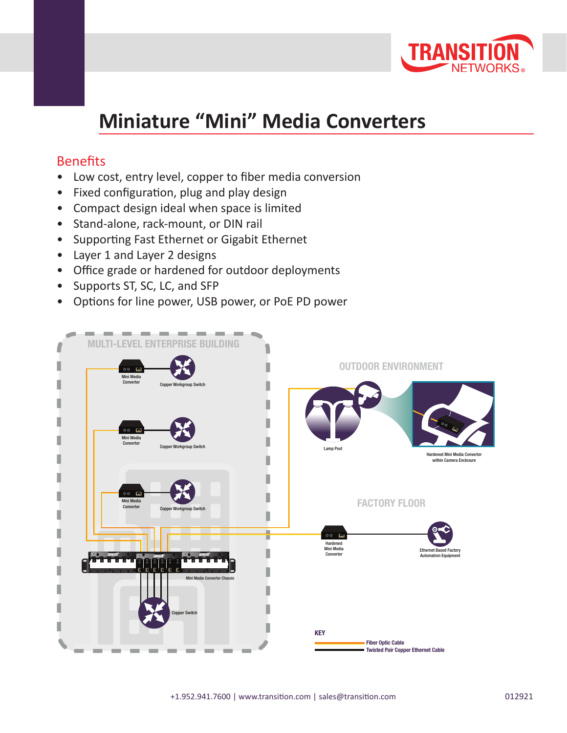

## **Miniature "Mini" Media Converters**

## **Benefits**

- Low cost, entry level, copper to fiber media conversion
- Fixed configuration, plug and play design
- Compact design ideal when space is limited
- Stand-alone, rack-mount, or DIN rail
- Supporting Fast Ethernet or Gigabit Ethernet
- Layer 1 and Layer 2 designs
- Office grade or hardened for outdoor deployments
- Supports ST, SC, LC, and SFP
- Options for line power, USB power, or PoE PD power